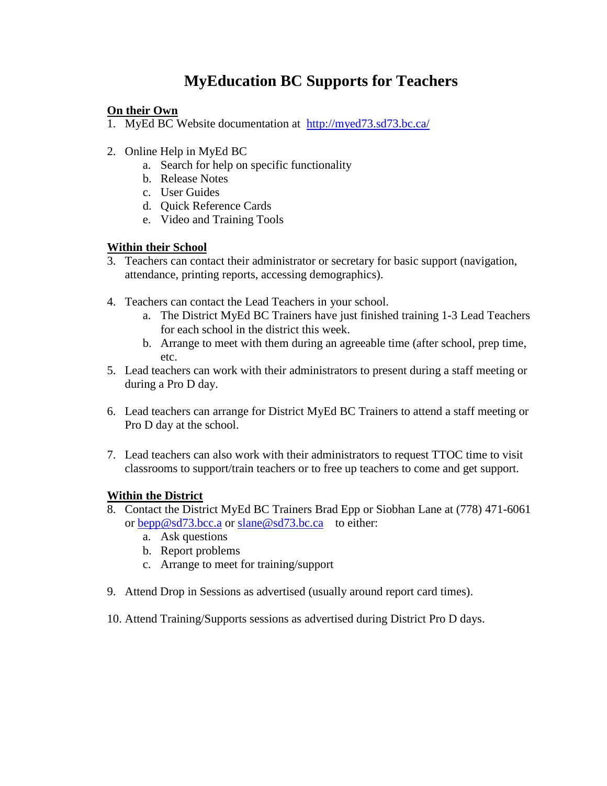## **MyEducation BC Supports for Teachers**

## **On their Own**

- 1. MyEd BC Website documentation at <http://myed73.sd73.bc.ca/>
- 2. Online Help in MyEd BC
	- a. Search for help on specific functionality
	- b. Release Notes
	- c. User Guides
	- d. Quick Reference Cards
	- e. Video and Training Tools

## **Within their School**

- 3. Teachers can contact their administrator or secretary for basic support (navigation, attendance, printing reports, accessing demographics).
- 4. Teachers can contact the Lead Teachers in your school.
	- a. The District MyEd BC Trainers have just finished training 1-3 Lead Teachers for each school in the district this week.
	- b. Arrange to meet with them during an agreeable time (after school, prep time, etc.
- 5. Lead teachers can work with their administrators to present during a staff meeting or during a Pro D day.
- 6. Lead teachers can arrange for District MyEd BC Trainers to attend a staff meeting or Pro D day at the school.
- 7. Lead teachers can also work with their administrators to request TTOC time to visit classrooms to support/train teachers or to free up teachers to come and get support.

## **Within the District**

- 8. Contact the District MyEd BC Trainers Brad Epp or Siobhan Lane at (778) 471-6061 or [bepp@sd73.bcc.a](mailto:bepp@sd73.bcc.a) or [slane@sd73.bc.ca](mailto:slane@sd73.bc.ca) to either:
	- a. Ask questions
	- b. Report problems
	- c. Arrange to meet for training/support
- 9. Attend Drop in Sessions as advertised (usually around report card times).
- 10. Attend Training/Supports sessions as advertised during District Pro D days.